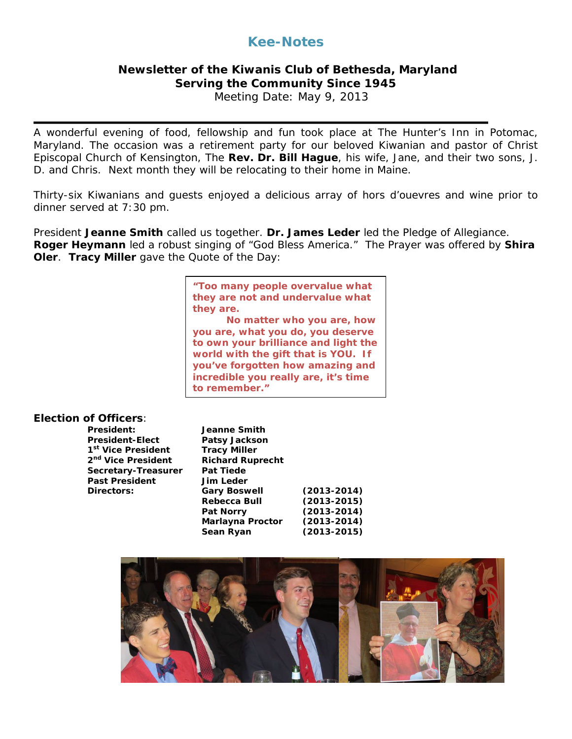# **Kee-Notes**

## **Newsletter of the Kiwanis Club of Bethesda, Maryland Serving the Community Since 1945**

Meeting Date: May 9, 2013

A wonderful evening of food, fellowship and fun took place at The Hunter's Inn in Potomac, Maryland. The occasion was a retirement party for our beloved Kiwanian and pastor of Christ Episcopal Church of Kensington, The **Rev. Dr. Bill Hague**, his wife, Jane, and their two sons, J. D. and Chris. Next month they will be relocating to their home in Maine.

Thirty-six Kiwanians and guests enjoyed a delicious array of hors d'ouevres and wine prior to dinner served at 7:30 pm.

President **Jeanne Smith** called us together. **Dr. James Leder** led the Pledge of Allegiance. **Roger Heymann** led a robust singing of "God Bless America." The Prayer was offered by **Shira Oler**. **Tracy Miller** gave the Quote of the Day:

> *They are. "Too many people overvalue what they are not and undervalue what*

*No matter who you are, how you are, what you do, you deserve to own your brilliance and light the world with the gift that is YOU. If you've forgotten how amazing and incredible you really are, it's time to remember."*

### **Election of Officers**:

| President:                     | Jeanne Smith            |                 |
|--------------------------------|-------------------------|-----------------|
| President-Elect                | <b>Patsy Jackson</b>    |                 |
| 1 <sup>st</sup> Vice President | <b>Tracy Miller</b>     |                 |
| 2 <sup>nd</sup> Vice President | <b>Richard Ruprecht</b> |                 |
| Secretary-Treasurer            | <b>Pat Tiede</b>        |                 |
| <b>Past President</b>          | <b>Jim Leder</b>        |                 |
| <b>Directors:</b>              | <b>Gary Boswell</b>     | $(2013 - 2014)$ |
|                                | <b>Rebecca Bull</b>     | $(2013 - 2015)$ |
|                                | <b>Pat Norry</b>        | $(2013 - 2014)$ |
|                                | Marlayna Proctor        | $(2013 - 2014)$ |
|                                | Sean Ryan               | $(2013 - 2015)$ |

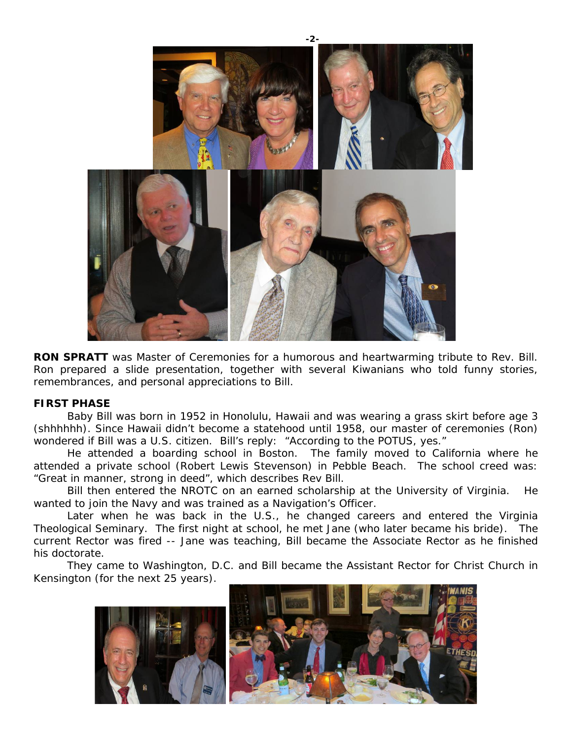

**RON SPRATT** was Master of Ceremonies for a humorous and heartwarming tribute to Rev. Bill. Ron prepared a slide presentation, together with several Kiwanians who told funny stories, remembrances, and personal appreciations to Bill.

#### **FIRST PHASE**

Baby Bill was born in 1952 in Honolulu, Hawaii and was wearing a grass skirt before age 3 (shhhhhh). Since Hawaii didn't become a statehood until 1958, our master of ceremonies (Ron) wondered if Bill was a U.S. citizen. Bill's reply: "According to the POTUS, yes."

He attended a boarding school in Boston. The family moved to California where he attended a private school (Robert Lewis Stevenson) in Pebble Beach. The school creed was: "Great in manner, strong in deed", which describes Rev Bill.

Bill then entered the NROTC on an earned scholarship at the University of Virginia. He wanted to join the Navy and was trained as a Navigation's Officer.

Later when he was back in the U.S., he changed careers and entered the Virginia Theological Seminary. The first night at school, he met Jane (who later became his bride). The current Rector was fired -- Jane was teaching, Bill became the Associate Rector as he finished his doctorate.

They came to Washington, D.C. and Bill became the Assistant Rector for Christ Church in Kensington (for the next 25 years).